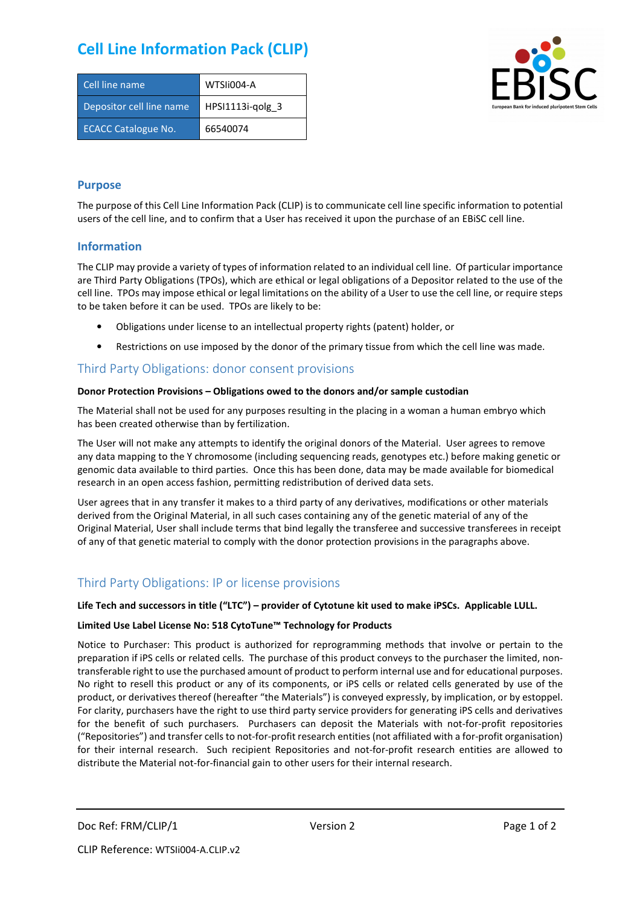# **Cell Line Information Pack (CLIP)**

| Cell line name             | WTSIi004-A         |
|----------------------------|--------------------|
| Depositor cell line name   | $HPSI1113i-qolg$ 3 |
| <b>ECACC Catalogue No.</b> | 66540074           |



#### **Purpose**

The purpose of this Cell Line Information Pack (CLIP) is to communicate cell line specific information to potential users of the cell line, and to confirm that a User has received it upon the purchase of an EBiSC cell line.

#### **Information**

The CLIP may provide a variety of types of information related to an individual cell line. Of particular importance are Third Party Obligations (TPOs), which are ethical or legal obligations of a Depositor related to the use of the cell line. TPOs may impose ethical or legal limitations on the ability of a User to use the cell line, or require steps to be taken before it can be used. TPOs are likely to be:

- Obligations under license to an intellectual property rights (patent) holder, or
- Restrictions on use imposed by the donor of the primary tissue from which the cell line was made.

### Third Party Obligations: donor consent provisions

#### **Donor Protection Provisions – Obligations owed to the donors and/or sample custodian**

The Material shall not be used for any purposes resulting in the placing in a woman a human embryo which has been created otherwise than by fertilization.

The User will not make any attempts to identify the original donors of the Material. User agrees to remove any data mapping to the Y chromosome (including sequencing reads, genotypes etc.) before making genetic or genomic data available to third parties. Once this has been done, data may be made available for biomedical research in an open access fashion, permitting redistribution of derived data sets.

User agrees that in any transfer it makes to a third party of any derivatives, modifications or other materials derived from the Original Material, in all such cases containing any of the genetic material of any of the Original Material, User shall include terms that bind legally the transferee and successive transferees in receipt of any of that genetic material to comply with the donor protection provisions in the paragraphs above.

## Third Party Obligations: IP or license provisions

#### **Life Tech and successors in title ("LTC") – provider of Cytotune kit used to make iPSCs. Applicable LULL.**

#### **Limited Use Label License No: 518 CytoTune™ Technology for Products**

Notice to Purchaser: This product is authorized for reprogramming methods that involve or pertain to the preparation if iPS cells or related cells. The purchase of this product conveys to the purchaser the limited, nontransferable right to use the purchased amount of product to perform internal use and for educational purposes. No right to resell this product or any of its components, or iPS cells or related cells generated by use of the product, or derivatives thereof (hereafter "the Materials") is conveyed expressly, by implication, or by estoppel. For clarity, purchasers have the right to use third party service providers for generating iPS cells and derivatives for the benefit of such purchasers. Purchasers can deposit the Materials with not-for-profit repositories ("Repositories") and transfer cells to not-for-profit research entities (not affiliated with a for-profit organisation) for their internal research. Such recipient Repositories and not-for-profit research entities are allowed to distribute the Material not-for-financial gain to other users for their internal research.

Doc Ref: FRM/CLIP/1 Version 2 Version 2 Page 1 of 2